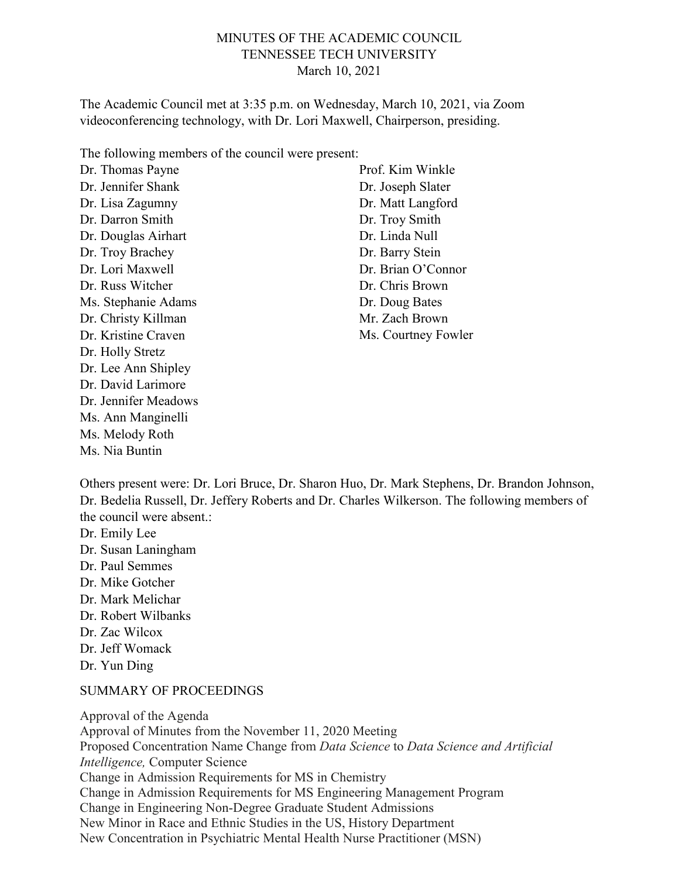### MINUTES OF THE ACADEMIC COUNCIL TENNESSEE TECH UNIVERSITY March 10, 2021

The Academic Council met at 3:35 p.m. on Wednesday, March 10, 2021, via Zoom videoconferencing technology, with Dr. Lori Maxwell, Chairperson, presiding.

The following members of the council were present:

Dr. Thomas Payne Dr. Jennifer Shank Dr. Lisa Zagumny Dr. Darron Smith Dr. Douglas Airhart Dr. Troy Brachey Dr. Lori Maxwell Dr. Russ Witcher Ms. Stephanie Adams Dr. Christy Killman Dr. Kristine Craven Dr. Holly Stretz Dr. Lee Ann Shipley Dr. David Larimore Dr. Jennifer Meadows Ms. Ann Manginelli Ms. Melody Roth Ms. Nia Buntin

Prof. Kim Winkle Dr. Joseph Slater Dr. Matt Langford Dr. Troy Smith Dr. Linda Null Dr. Barry Stein Dr. Brian O'Connor Dr. Chris Brown Dr. Doug Bates Mr. Zach Brown Ms. Courtney Fowler

Others present were: Dr. Lori Bruce, Dr. Sharon Huo, Dr. Mark Stephens, Dr. Brandon Johnson, Dr. Bedelia Russell, Dr. Jeffery Roberts and Dr. Charles Wilkerson. The following members of the council were absent.:

- Dr. Emily Lee Dr. Susan Laningham Dr. Paul Semmes Dr. Mike Gotcher Dr. Mark Melichar
- Dr. Robert Wilbanks
- Dr. Zac Wilcox

Dr. Jeff Womack

Dr. Yun Ding

#### SUMMARY OF PROCEEDINGS

Approval of the Agenda Approval of Minutes from the November 11, 2020 Meeting Proposed Concentration Name Change from *Data Science* to *Data Science and Artificial Intelligence,* Computer Science Change in Admission Requirements for MS in Chemistry Change in Admission Requirements for MS Engineering Management Program Change in Engineering Non-Degree Graduate Student Admissions New Minor in Race and Ethnic Studies in the US, History Department New Concentration in Psychiatric Mental Health Nurse Practitioner (MSN)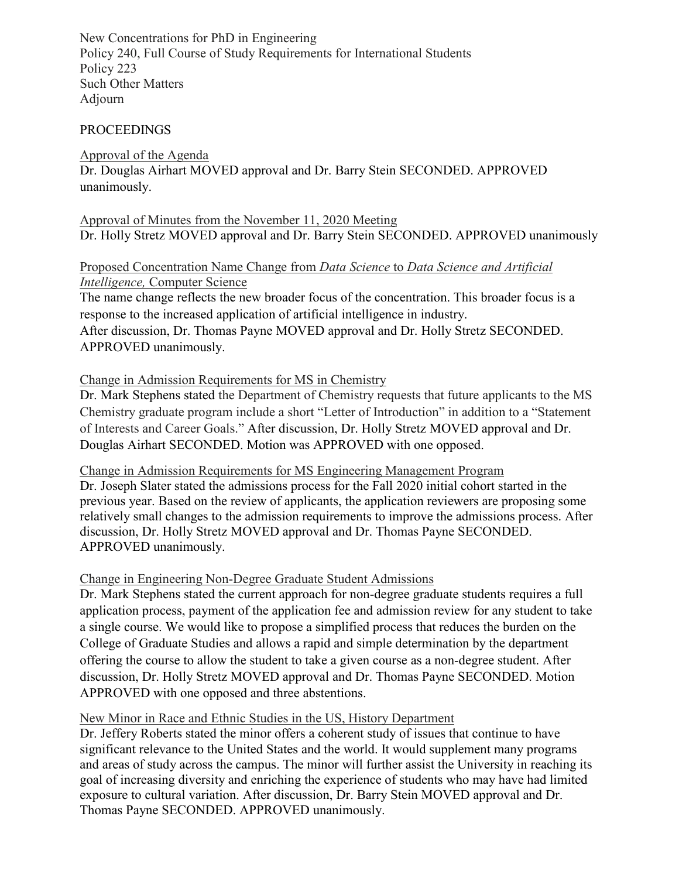New Concentrations for PhD in Engineering Policy 240, Full Course of Study Requirements for International Students Policy 223 Such Other Matters Adjourn

#### **PROCEEDINGS**

#### Approval of the Agenda Dr. Douglas Airhart MOVED approval and Dr. Barry Stein SECONDED. APPROVED unanimously.

Approval of Minutes from the November 11, 2020 Meeting Dr. Holly Stretz MOVED approval and Dr. Barry Stein SECONDED. APPROVED unanimously

### Proposed Concentration Name Change from *Data Science* to *Data Science and Artificial Intelligence,* Computer Science

The name change reflects the new broader focus of the concentration. This broader focus is a response to the increased application of artificial intelligence in industry.

After discussion, Dr. Thomas Payne MOVED approval and Dr. Holly Stretz SECONDED. APPROVED unanimously.

#### Change in Admission Requirements for MS in Chemistry

Dr. Mark Stephens stated the Department of Chemistry requests that future applicants to the MS Chemistry graduate program include a short "Letter of Introduction" in addition to a "Statement of Interests and Career Goals." After discussion, Dr. Holly Stretz MOVED approval and Dr. Douglas Airhart SECONDED. Motion was APPROVED with one opposed.

Change in Admission Requirements for MS Engineering Management Program

Dr. Joseph Slater stated the admissions process for the Fall 2020 initial cohort started in the previous year. Based on the review of applicants, the application reviewers are proposing some relatively small changes to the admission requirements to improve the admissions process. After discussion, Dr. Holly Stretz MOVED approval and Dr. Thomas Payne SECONDED. APPROVED unanimously.

#### Change in Engineering Non-Degree Graduate Student Admissions

Dr. Mark Stephens stated the current approach for non-degree graduate students requires a full application process, payment of the application fee and admission review for any student to take a single course. We would like to propose a simplified process that reduces the burden on the College of Graduate Studies and allows a rapid and simple determination by the department offering the course to allow the student to take a given course as a non-degree student. After discussion, Dr. Holly Stretz MOVED approval and Dr. Thomas Payne SECONDED. Motion APPROVED with one opposed and three abstentions.

#### New Minor in Race and Ethnic Studies in the US, History Department

Dr. Jeffery Roberts stated the minor offers a coherent study of issues that continue to have significant relevance to the United States and the world. It would supplement many programs and areas of study across the campus. The minor will further assist the University in reaching its goal of increasing diversity and enriching the experience of students who may have had limited exposure to cultural variation. After discussion, Dr. Barry Stein MOVED approval and Dr. Thomas Payne SECONDED. APPROVED unanimously.